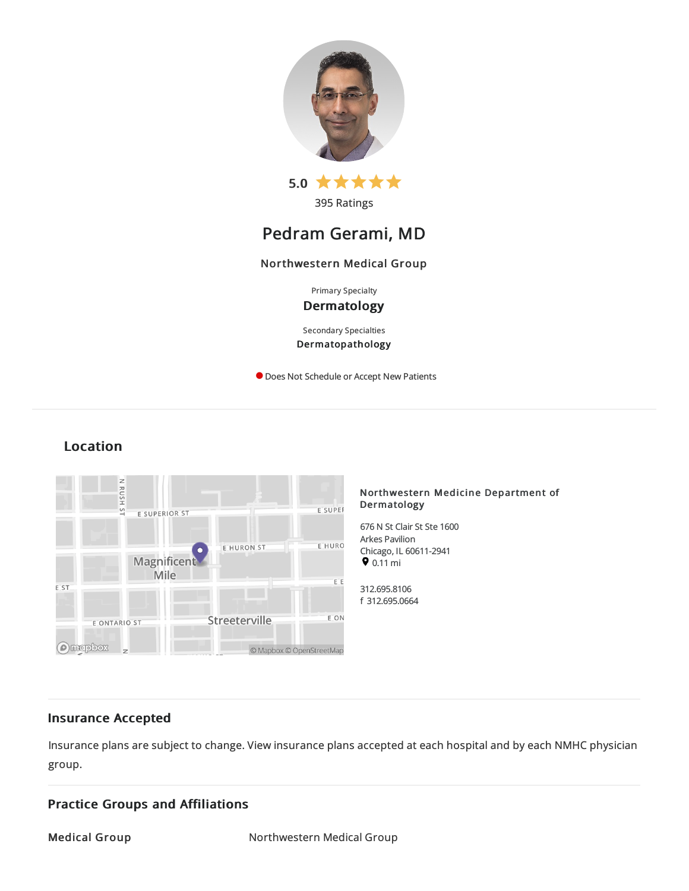

395 Ratings

# Pedram Gerami, MD

## Northwestern Medical Group

Primary Specialty

## Dermatology

Secondary Specialties Dermatopathology

**O** Does Not Schedule or Accept New Patients

## Location



#### Northwestern Medicine Department of Dermatology

676 N St Clair St Ste 1600 Arkes Pavilion Chicago, IL60611-2941  $9.11 \text{ mi}$ 

312.695.8106 f 312.695.0664

## Insurance Accepted

Insurance plans are subject to change. View [insurance](https://www.nm.org/patients-and-visitors/billing-and-insurance/insurance-information/accepted-insurance-plans) plans accepted at each hospital and by each NMHC physician group.

## Practice Groups and Affiliations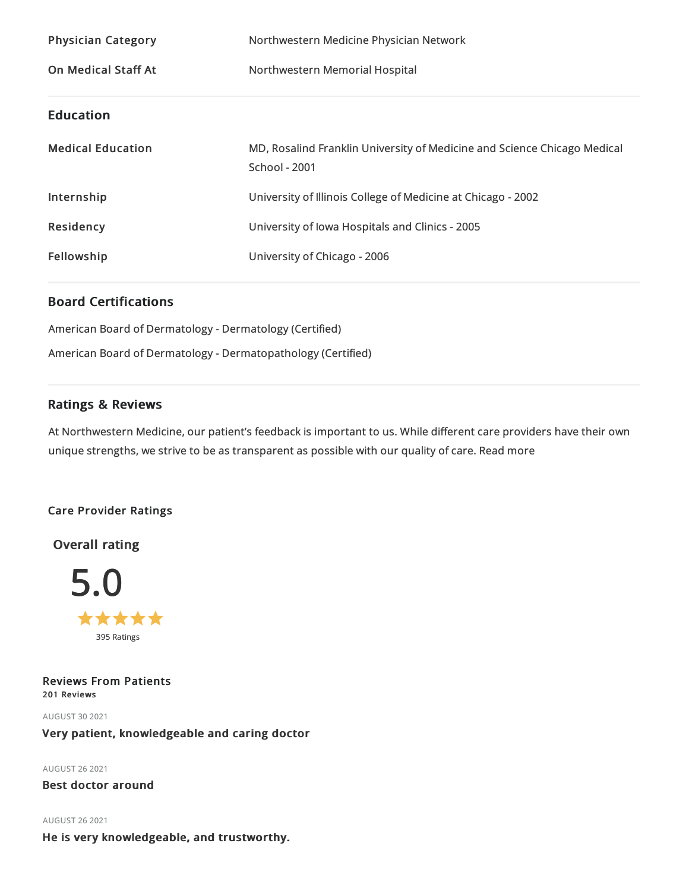| <b>Physician Category</b>  | Northwestern Medicine Physician Network                                                   |
|----------------------------|-------------------------------------------------------------------------------------------|
| <b>On Medical Staff At</b> | Northwestern Memorial Hospital                                                            |
| <b>Education</b>           |                                                                                           |
| <b>Medical Education</b>   | MD, Rosalind Franklin University of Medicine and Science Chicago Medical<br>School - 2001 |
| Internship                 | University of Illinois College of Medicine at Chicago - 2002                              |
| Residency                  | University of Iowa Hospitals and Clinics - 2005                                           |
| Fellowship                 | University of Chicago - 2006                                                              |

## Board Certifications

American Board of Dermatology - Dermatology (Certified) American Board of Dermatology - Dermatopathology (Certified)

## Ratings & Reviews

At Northwestern Medicine, our patient's feedback is important to us. While different care providers have their own unique strengths, we strive to be as transparent as possible with our quality of care. Read more

## Care Provider Ratings

Overall rating



Reviews From Patients 201 Reviews

AUGUST 302021 Very patient, knowledgeable and caring doctor

AUGUST 262021

Best doctor around

AUGUST 262021 He is very knowledgeable, and trustworthy.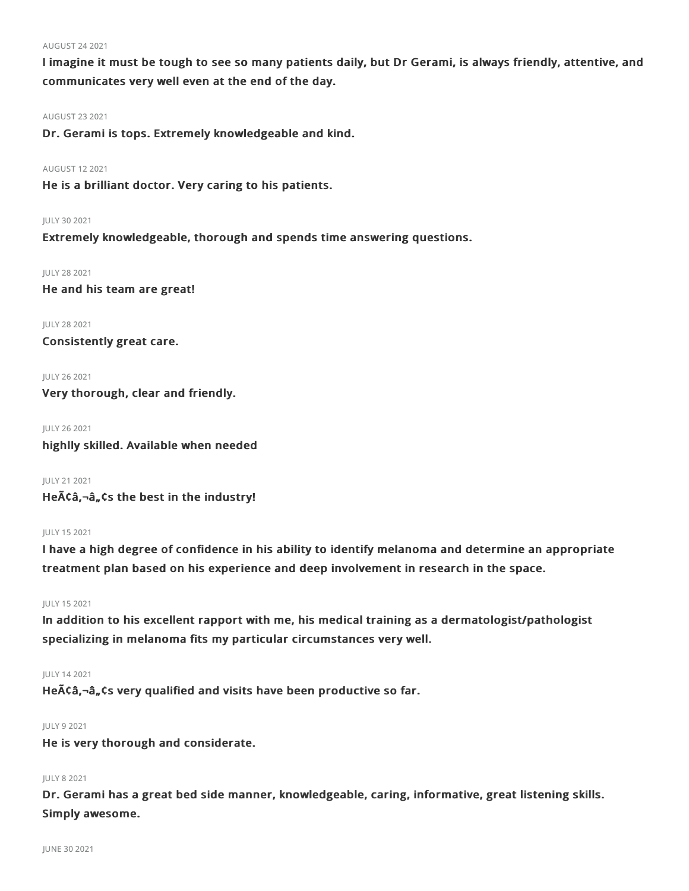#### AUGUST 242021

I imagine it must be tough to see so many patients daily, but Dr Gerami, is always friendly, attentive, and communicates very well even at the end of the day.

AUGUST 232021

Dr. Gerami is tops. Extremely knowledgeable and kind.

AUGUST 122021

He is a brilliant doctor. Very caring to his patients.

#### JULY 302021

Extremely knowledgeable, thorough and spends time answering questions.

JULY 282021

He and his team are great!

JULY 282021 Consistently great care.

JULY 262021 Very thorough, clear and friendly.

JULY 262021 highlly skilled. Available when needed

JULY 212021 He $\tilde{A}$ Ca, $\neg$  $\hat{a}$ , $\tilde{c}$ s the best in the industry!

#### JULY 152021

I have a high degree of confidence in his ability to identify melanoma and determine an appropriate treatment plan based on his experience and deep involvement in research in the space.

#### JULY 152021

In addition to his excellent rapport with me, his medical training as a dermatologist/pathologist specializing in melanoma fits my particular circumstances very well.

#### JULY 142021

He $\tilde{A}\tilde{C}\hat{a}$ ,  $\tilde{a}$ ,  $\tilde{c}$ s very qualified and visits have been productive so far.

#### JULY 92021

He is very thorough and considerate.

### JULY 82021

Dr. Gerami has a great bed side manner, knowledgeable, caring, informative, great listening skills. Simply awesome.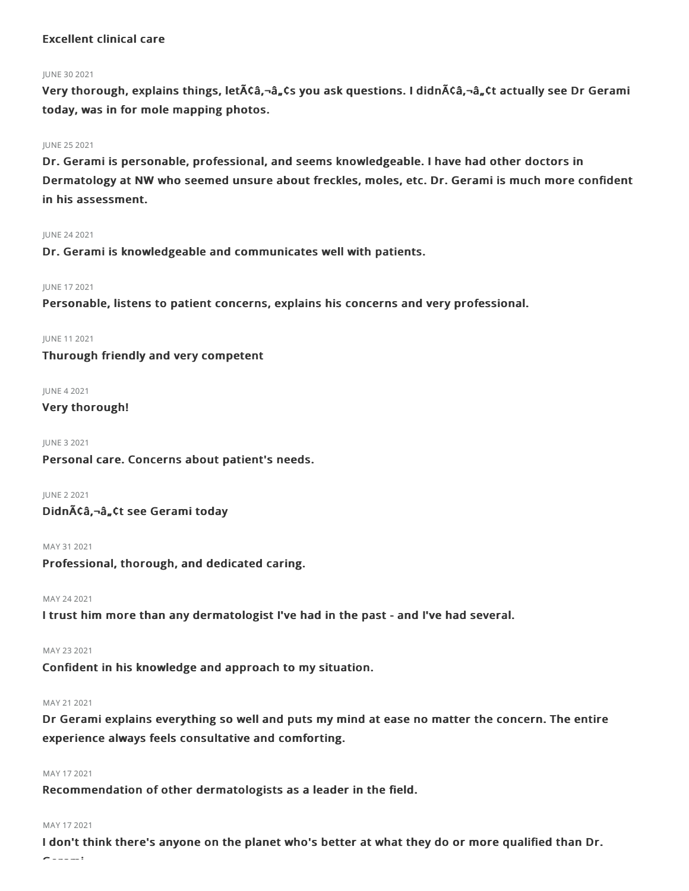## Excellent clinical care

#### JUNE 30 2021

Very thorough, explains things, let $\tilde{A}$ Câ,¬â, Cs you ask questions. I didn $\tilde{A}$ Câ,¬â, Ct actually see Dr Gerami today, was in for mole mapping photos.

#### JUNE 252021

Dr. Gerami is personable, professional, and seems knowledgeable. I have had other doctors in Dermatology at NW who seemed unsure about freckles, moles, etc. Dr. Gerami is much more confident in his assessment.

#### JUNE 242021

Dr. Gerami is knowledgeable and communicates well with patients.

#### JUNE 172021

Personable, listens to patient concerns, explains his concerns and very professional.

JUNE 112021 Thurough friendly and very competent

#### JUNE 42021

### Very thorough!

JUNE 32021

Personal care. Concerns about patient's needs.

JUNE 22021 Didnââ,¬â"¢t see Gerami today

MAY 312021

Professional, thorough, and dedicated caring.

#### MAY 242021

I trust him more than any dermatologist I've had in the past - and I've had several.

MAY 232021

Confident in his knowledge and approach to my situation.

#### MAY 212021

Dr Gerami explains everything so well and puts my mind at ease no matter the concern. The entire experience always feels consultative and comforting.

#### MAY 172021

Recommendation of other dermatologists as a leader in the field.

#### MAY 172021

I don't think there's anyone on the planet who's better at what they do or more qualified than Dr. Gerami.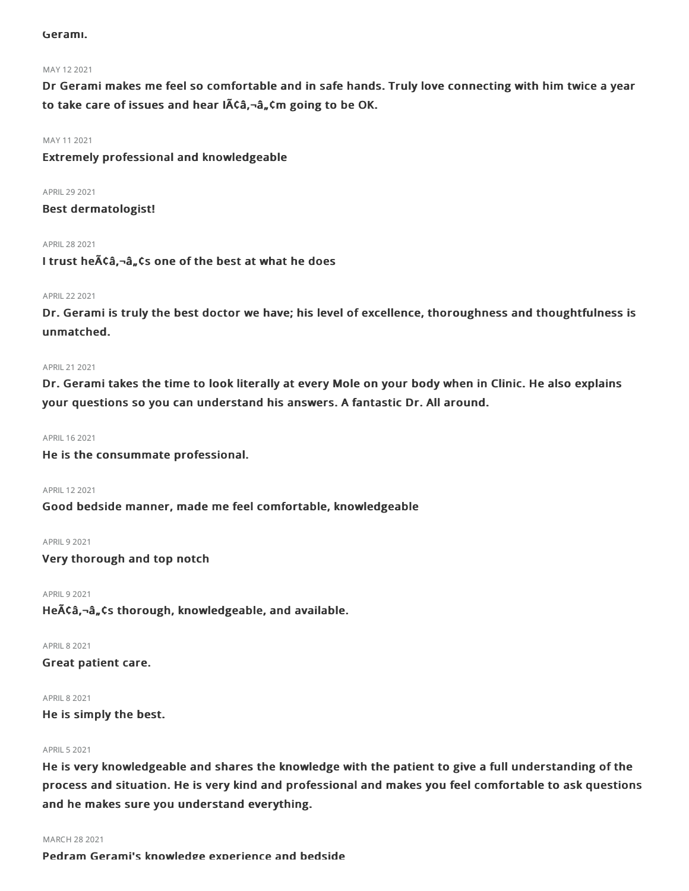#### Gerami.

#### MAY 122021

Dr Gerami makes me feel so comfortable and in safe hands. Truly love connecting with him twice a year to take care of issues and hear IACa,-a, Cm going to be OK.

#### MAY 112021

Extremely professional and knowledgeable

APRIL 29 2021 Best dermatologist!

APRIL282021 I trust he $\tilde{A}\zeta\hat{a}$ ,  $-\hat{a}$ ,  $\zeta$  s one of the best at what he does

#### APRIL222021

Dr. Gerami is truly the best doctor we have; his level of excellence, thoroughness and thoughtfulness is unmatched.

#### APRIL212021

Dr. Gerami takes the time to look literally at every Mole on your body when in Clinic. He also explains your questions so you can understand his answers. A fantastic Dr. All around.

#### APRIL162021

He is the consummate professional.

APRIL122021

Good bedside manner, made me feel comfortable, knowledgeable

**APRIL 9 2021** 

Very thorough and top notch

**APRIL 9 2021** He $\tilde{A}$ Ca, $\neg$ â, $\tilde{A}$ , Cs thorough, knowledgeable, and available.

APRIL82021

Great patient care.

APRIL82021

He is simply the best.

#### APRIL52021

He is very knowledgeable and shares the knowledge with the patient to give a full understanding of the process and situation. He is very kind and professional and makes you feel comfortable to ask questions and he makes sure you understand everything.

#### MARCH 282021

Pedram Gerami's knowledge experience and bedside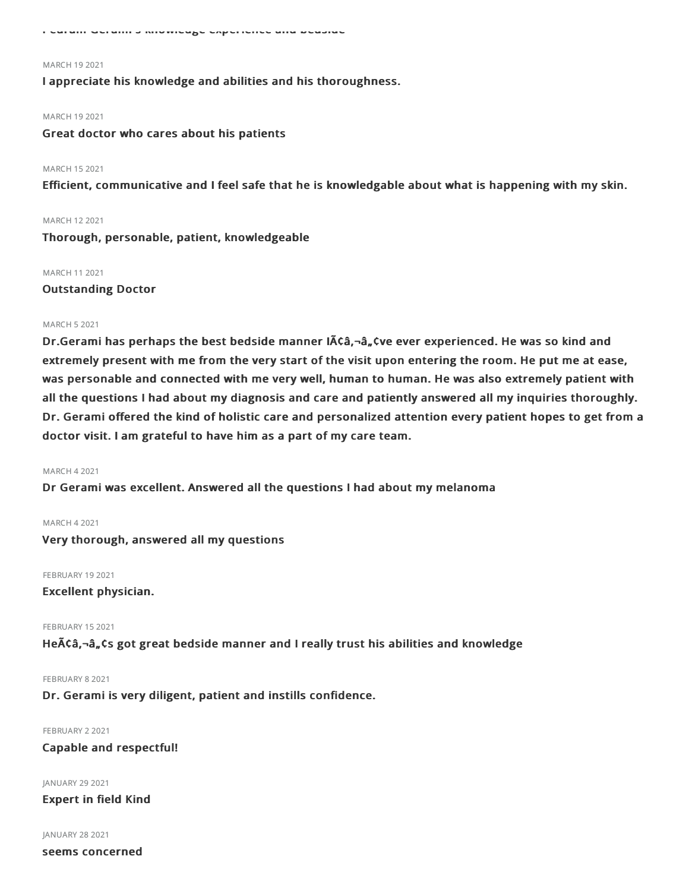Pedram Gerami's knowledge experience and bedside

#### MARCH 192021

I appreciate his knowledge and abilities and his thoroughness.

#### MARCH 192021

Great doctor who cares about his patients

#### MARCH 152021

Efficient, communicative and I feel safe that he is knowledgable about what is happening with my skin.

#### MARCH 122021

Thorough, personable, patient, knowledgeable

#### MARCH 112021

#### Outstanding Doctor

#### MARCH 52021

Dr.Gerami has perhaps the best bedside manner  $\tilde{A}\tilde{C}\tilde{a}$ ,  $-\tilde{a}$ ,  $\tilde{C}$  ever experienced. He was so kind and extremely present with me from the very start of the visit upon entering the room. He put me at ease, was personable and connected with me very well, human to human. He was also extremely patient with all the questions I had about my diagnosis and care and patiently answered all my inquiries thoroughly. Dr. Gerami offered the kind of holistic care and personalized attention every patient hopes to get from a doctor visit. I am grateful to have him as a part of my care team.

#### MARCH 42021

Dr Gerami was excellent. Answered all the questions I had about my melanoma

#### MARCH 42021

Very thorough, answered all my questions

FEBRUARY 19 2021

Excellent physician.

#### FEBRUARY 152021

He $\tilde{A}$ Ca,- $\hat{a}_n$ Cs got great bedside manner and I really trust his abilities and knowledge

#### FEBRUARY 82021

Dr. Gerami is very diligent, patient and instills confidence.

#### FEBRUARY 2 2021

#### Capable and respectful!

JANUARY 29 2021 Expert in field Kind

#### JANUARY 28 2021

seems concerned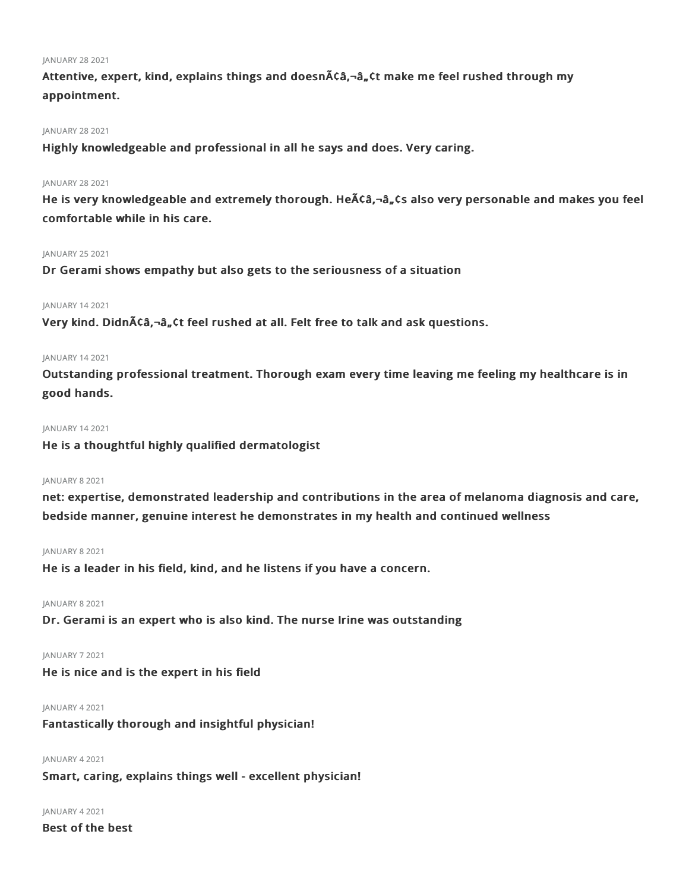#### JANUARY 282021

Attentive, expert, kind, explains things and doesn $\tilde{A}$ Ca,-a, Ct make me feel rushed through my appointment.

### JANUARY 28 2021

Highly knowledgeable and professional in all he says and does. Very caring.

#### JANUARY 282021

He is very knowledgeable and extremely thorough. He A c a, a, cs also very personable and makes you feel comfortable while in his care.

#### JANUARY 252021

Dr Gerami shows empathy but also gets to the seriousness of a situation

#### JANUARY 142021

Very kind. Didn $\tilde{A}$ Câ,-â, Ct feel rushed at all. Felt free to talk and ask questions.

#### JANUARY 142021

Outstanding professional treatment. Thorough exam every time leaving me feeling my healthcare is in good hands.

#### JANUARY 142021

He is a thoughtful highly qualified dermatologist

#### JANUARY 82021

net: expertise, demonstrated leadership and contributions in the area of melanoma diagnosis and care, bedside manner, genuine interest he demonstrates in my health and continued wellness

#### JANUARY 82021

He is a leader in his field, kind, and he listens if you have a concern.

#### JANUARY 82021

Dr. Gerami is an expert who is also kind. The nurse Irine was outstanding

#### JANUARY 72021

He is nice and is the expert in his field

#### JANUARY 42021

Fantastically thorough and insightful physician!

## JANUARY 42021 Smart, caring, explains things well - excellent physician!

JANUARY 42021

Best of the best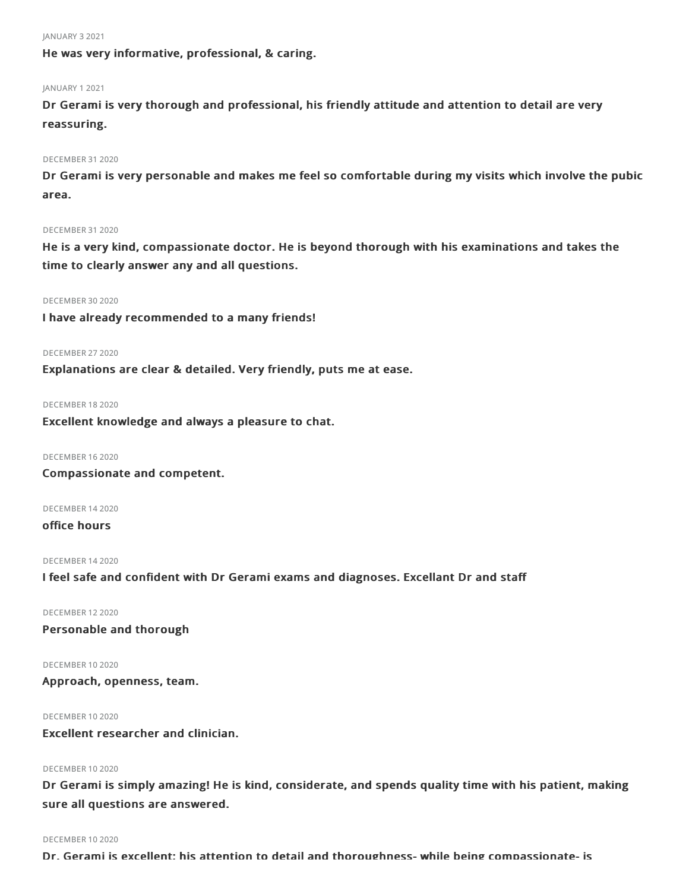JANUARY 32021

He was very informative, professional, & caring.

#### JANUARY 12021

Dr Gerami is very thorough and professional, his friendly attitude and attention to detail are very reassuring.

#### DECEMBER 31 2020

Dr Gerami is very personable and makes me feel so comfortable during my visits which involve the pubic area.

#### DECEMBER 312020

He is a very kind, compassionate doctor. He is beyond thorough with his examinations and takes the time to clearly answer any and all questions.

#### DECEMBER 30 2020

I have already recommended to a many friends!

#### DECEMBER 272020

Explanations are clear & detailed. Very friendly, puts me at ease.

DECEMBER 182020

Excellent knowledge and always a pleasure to chat.

DECEMBER 162020

Compassionate and competent.

DECEMBER 142020

## office hours

DECEMBER 142020

I feel safe and confident with Dr Gerami exams and diagnoses. Excellant Dr and staff

DECEMBER 122020

Personable and thorough

DECEMBER 102020 Approach, openness, team.

DECEMBER 102020

Excellent researcher and clinician.

### DECEMBER 102020

Dr Gerami is simply amazing! He is kind, considerate, and spends quality time with his patient, making sure all questions are answered.

#### DECEMBER 102020

Dr. Gerami is excellent; his attention to detail and thoroughness- while being compassionate- is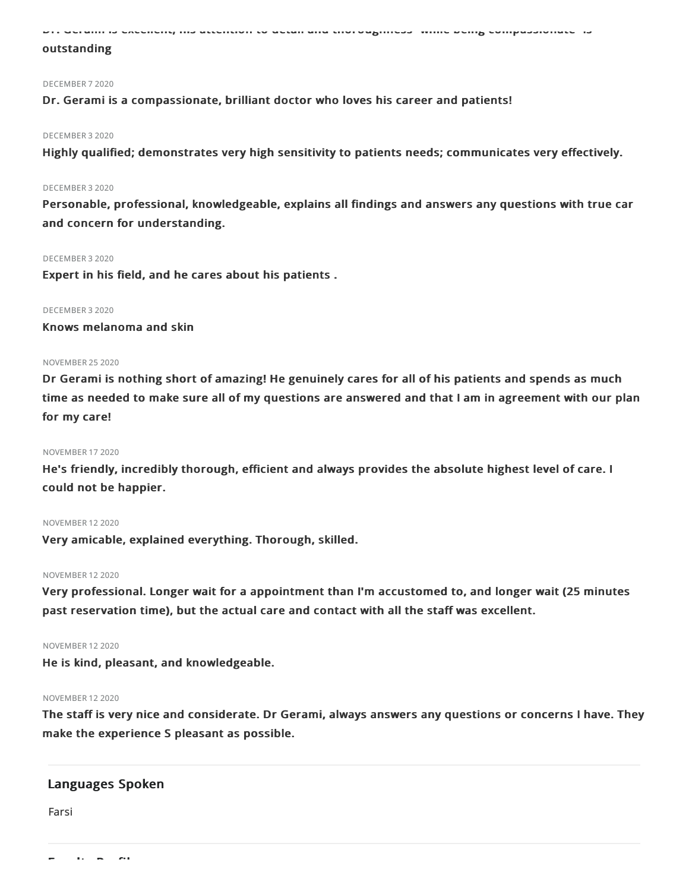Dr. Gerami is excellent; his attention to detail and thoroughness- while being compassionate- is

### outstanding

#### DECEMBER 72020

#### Dr. Gerami is a compassionate, brilliant doctor who loves his career and patients!

#### DECEMBER 32020

Highly qualified; demonstrates very high sensitivity to patients needs; communicates very effectively.

#### DECEMBER 32020

Personable, professional, knowledgeable, explains all findings and answers any questions with true car and concern for understanding.

#### DECEMBER 32020

Expert in his field, and he cares about his patients .

#### DECEMBER 32020

Knows melanoma and skin

#### NOVEMBER 252020

Dr Gerami is nothing short of amazing! He genuinely cares for all of his patients and spends as much time as needed to make sure all of my questions are answered and that I am in agreement with our plan for my care!

#### NOVEMBER 172020

He's friendly, incredibly thorough, efficient and always provides the absolute highest level of care. I could not be happier.

#### NOVEMBER 122020

Very amicable, explained everything. Thorough, skilled.

#### NOVEMBER 122020

Very professional. Longer wait for a appointment than I'm accustomed to, and longer wait (25 minutes past reservation time), but the actual care and contact with all the staff was excellent.

#### NOVEMBER 122020

He is kind, pleasant, and knowledgeable.

#### NOVEMBER 122020

The staff is very nice and considerate. Dr Gerami, always answers any questions or concerns I have. They make the experience S pleasant as possible.

### Languages Spoken

Farsi